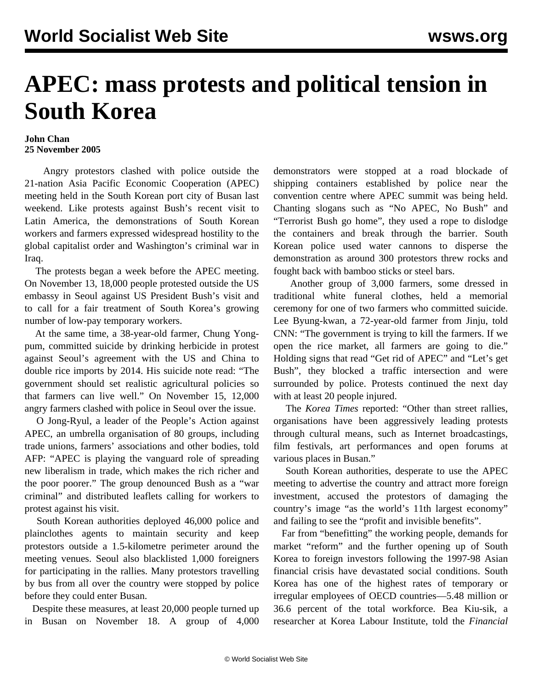## **APEC: mass protests and political tension in South Korea**

## **John Chan 25 November 2005**

 Angry protestors clashed with police outside the 21-nation Asia Pacific Economic Cooperation (APEC) meeting held in the South Korean port city of Busan last weekend. Like protests against Bush's recent visit to Latin America, the demonstrations of South Korean workers and farmers expressed widespread hostility to the global capitalist order and Washington's criminal war in Iraq.

 The protests began a week before the APEC meeting. On November 13, 18,000 people protested outside the US embassy in Seoul against US President Bush's visit and to call for a fair treatment of South Korea's growing number of low-pay temporary workers.

 At the same time, a 38-year-old farmer, Chung Yongpum, committed suicide by drinking herbicide in protest against Seoul's agreement with the US and China to double rice imports by 2014. His suicide note read: "The government should set realistic agricultural policies so that farmers can live well." On November 15, 12,000 angry farmers clashed with police in Seoul over the issue.

 O Jong-Ryul, a leader of the People's Action against APEC, an umbrella organisation of 80 groups, including trade unions, farmers' associations and other bodies, told AFP: "APEC is playing the vanguard role of spreading new liberalism in trade, which makes the rich richer and the poor poorer." The group denounced Bush as a "war criminal" and distributed leaflets calling for workers to protest against his visit.

 South Korean authorities deployed 46,000 police and plainclothes agents to maintain security and keep protestors outside a 1.5-kilometre perimeter around the meeting venues. Seoul also blacklisted 1,000 foreigners for participating in the rallies. Many protestors travelling by bus from all over the country were stopped by police before they could enter Busan.

 Despite these measures, at least 20,000 people turned up in Busan on November 18. A group of 4,000 demonstrators were stopped at a road blockade of shipping containers established by police near the convention centre where APEC summit was being held. Chanting slogans such as "No APEC, No Bush" and "Terrorist Bush go home", they used a rope to dislodge the containers and break through the barrier. South Korean police used water cannons to disperse the demonstration as around 300 protestors threw rocks and fought back with bamboo sticks or steel bars.

 Another group of 3,000 farmers, some dressed in traditional white funeral clothes, held a memorial ceremony for one of two farmers who committed suicide. Lee Byung-kwan, a 72-year-old farmer from Jinju, told CNN: "The government is trying to kill the farmers. If we open the rice market, all farmers are going to die." Holding signs that read "Get rid of APEC" and "Let's get Bush", they blocked a traffic intersection and were surrounded by police. Protests continued the next day with at least 20 people injured.

 The *Korea Times* reported: "Other than street rallies, organisations have been aggressively leading protests through cultural means, such as Internet broadcastings, film festivals, art performances and open forums at various places in Busan."

 South Korean authorities, desperate to use the APEC meeting to advertise the country and attract more foreign investment, accused the protestors of damaging the country's image "as the world's 11th largest economy" and failing to see the "profit and invisible benefits".

 Far from "benefitting" the working people, demands for market "reform" and the further opening up of South Korea to foreign investors following the 1997-98 Asian financial crisis have devastated social conditions. South Korea has one of the highest rates of temporary or irregular employees of OECD countries—5.48 million or 36.6 percent of the total workforce. Bea Kiu-sik, a researcher at Korea Labour Institute, told the *Financial*